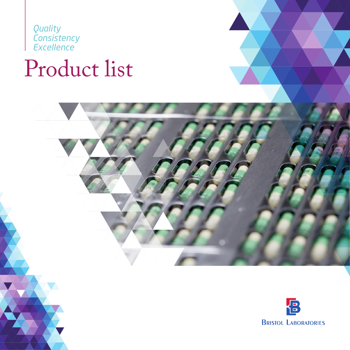*Quality Consistency Excellence*

# Product list



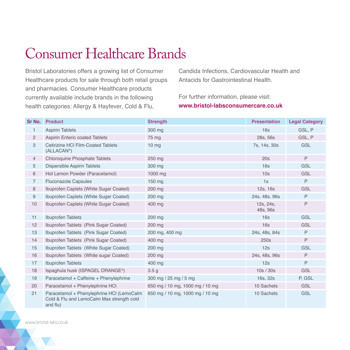# Consumer Healthcare Brands

Bristol Laboratories offers a growing list of Consumer Healthcare products for sale through both retail groups and pharmacies. Consumer Healthcare products currently available include brands in the following health categories: Allergy & Hayfever, Cold & Flu,

Candida Infections, Cardiovascular Health and Antacids for Gastrointestinal Health.

## For further information, please visit: **www.bristol-labsconsumercare.co.uk**

| Sr No.         | <b>Product</b>                                                                                     | <b>Strength</b>                 | <b>Presentation</b>   | <b>Legal Category</b> |
|----------------|----------------------------------------------------------------------------------------------------|---------------------------------|-----------------------|-----------------------|
| $\mathbf{1}$   | <b>Aspirin Tablets</b>                                                                             | 300 mg                          | 16s                   | GSL, P                |
| $\overline{2}$ | <b>Aspirin Enteric coated Tablets</b>                                                              | 75 mg                           | 28s, 56s              | GSL, P                |
| 3              | <b>Cetirizine HCI Film-Coated Tablets</b><br>(ALLACAN®)                                            | 10 <sub>mg</sub>                | 7s, 14s, 30s          | <b>GSL</b>            |
| $\overline{4}$ | <b>Chloroquine Phosphate Tablets</b>                                                               | 250 mg                          | 20s                   | $\mathsf{P}$          |
| 5              | <b>Dispersible Aspirin Tablets</b>                                                                 | 300 mg                          | 16s                   | <b>GSL</b>            |
| 6              | Hot Lemon Powder (Paracetamol)                                                                     | 1000 mg                         | 10 <sub>s</sub>       | <b>GSL</b>            |
| $\overline{7}$ | <b>Fluconazole Capsules</b>                                                                        | 150 mg                          | 1s                    | $\mathsf{P}$          |
| 8              | Ibuprofen Caplets (White Sugar Coated)                                                             | 200 mg                          | 12s, 16s              | <b>GSL</b>            |
| 9              | Ibuprofen Caplets (White Sugar Coated)                                                             | 200 mg                          | 24s, 48s, 96s         | $\mathsf{P}$          |
| 10             | Ibuprofen Caplets (White Sugar Coated)                                                             | 400 mg                          | 12s, 24s,<br>48s, 96s | $\mathsf{P}$          |
| 11             | <b>Ibuprofen Tablets</b>                                                                           | 200 mg                          | 16s                   | <b>GSL</b>            |
| 12             | Ibuprofen Tablets (Pink Sugar Coated)                                                              | 200 mg                          | 16s                   | <b>GSL</b>            |
| 13             | Ibuprofen Tablets (Pink Sugar Coated)                                                              | 200 mg, 400 mg                  | 24s, 48s, 84s         | $\mathsf{P}$          |
| 14             | Ibuprofen Tablets (Pink Sugar Coated)                                                              | 400 mg                          | 250s                  | $\mathsf{P}$          |
| 15             | Ibuprofen Tablets (White Sugar Coated)                                                             | 200 mg                          | 12s                   | <b>GSL</b>            |
| 16             | Ibuprofen Tablets (White sugar Coated)                                                             | 200 mg                          | 24s, 48s, 96s         | P                     |
| 17             | <b>Ibuprofen Tablets</b>                                                                           | 400 mg                          | 12s                   | $\mathsf{P}$          |
| 18             | Ispaghula husk (ISPAGEL ORANGE®)                                                                   | 3.5 <sub>g</sub>                | 10s/30s               | <b>GSL</b>            |
| 19             | Paracetamol + Caffeine + Phenylephrine                                                             | 300 mg / 25 mg / 5 mg           | 16s, 32s              | P, GSL                |
| 20             | Paracetamol + Phenylephrine HCl                                                                    | 650 mg / 10 mg, 1000 mg / 10 mg | 10 Sachets            | <b>GSL</b>            |
| 21             | Paracetamol + Phenylephrine HCI (LemoCalm<br>Cold & Flu and LemoCalm Max strength cold<br>and flu) | 650 mg / 10 mg, 1000 mg / 10 mg | 10 Sachets            | <b>GSL</b>            |

www.bristol-labs.co.uk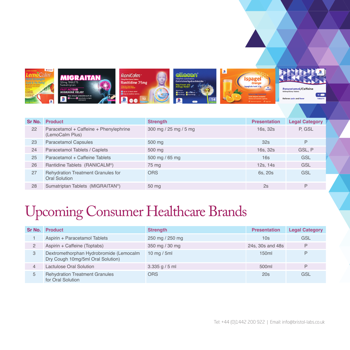

|    | <b>Sr No.</b> Product                                             | <b>Strength</b>       | <b>Presentation</b> | <b>Legal Category</b> |
|----|-------------------------------------------------------------------|-----------------------|---------------------|-----------------------|
| 22 | Paracetamol + Caffeine + Phenylephrine<br>(LemoCalm Plus)         | 300 mg / 25 mg / 5 mg | 16s, 32s            | P. GSL                |
| 23 | <b>Paracetamol Capsules</b>                                       | 500 mg                | 32s                 | P                     |
| 24 | Paracetamol Tablets / Caplets                                     | 500 mg                | 16s, 32s            | GSL, P                |
| 25 | Paracetamol + Caffeine Tablets                                    | 500 mg / 65 mg        | 16s                 | <b>GSL</b>            |
| 26 | Rantidine Tablets (RANICALM®)                                     | 75 mg                 | 12s, 14s            | GSL                   |
| 27 | <b>Rehydration Treatment Granules for</b><br><b>Oral Solution</b> | <b>ORS</b>            | 6s, 20s             | GSL                   |
| 28 | Sumatriptan Tablets (MIGRAITAN®)                                  | 50 mg                 | 2s                  | P                     |

# Upcoming Consumer Healthcare Brands

| Sr No.         | <b>Product</b>                                                               | <b>Strength</b> | <b>Presentation</b> | <b>Legal Category</b> |
|----------------|------------------------------------------------------------------------------|-----------------|---------------------|-----------------------|
|                | Aspirin + Paracetamol Tablets                                                | 250 mg / 250 mg | 10s                 | GSL                   |
| $\overline{2}$ | Aspirin + Caffeine (Toptabs)                                                 | 350 mg / 30 mg  | 24s, 30s and 48s    | P                     |
| 3              | Dextromethorphan Hydrobromide (Lemocalm<br>Dry Cough 10mg/5ml Oral Solution) | 10 mg $/$ 5ml   | 150ml               | P                     |
| 4              | Lactulose Oral Solution                                                      | 3.335 g / 5 ml  | 500ml               | P                     |
| 5              | <b>Rehydration Treatment Granules</b><br>for Oral Solution                   | <b>ORS</b>      | 20s                 | GSL                   |